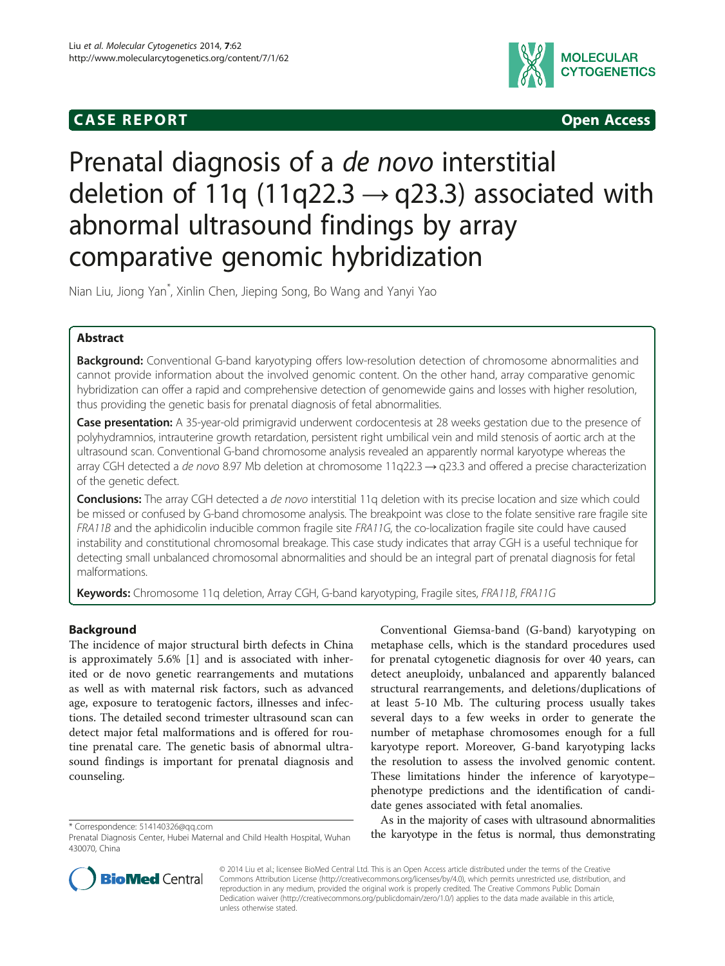## **CASE REPORT CASE REPORT**



# Prenatal diagnosis of a de novo interstitial deletion of 11q (11q22.3  $\rightarrow$  q23.3) associated with abnormal ultrasound findings by array comparative genomic hybridization

Nian Liu, Jiong Yan<sup>\*</sup>, Xinlin Chen, Jieping Song, Bo Wang and Yanyi Yao

## Abstract

**Background:** Conventional G-band karyotyping offers low-resolution detection of chromosome abnormalities and cannot provide information about the involved genomic content. On the other hand, array comparative genomic hybridization can offer a rapid and comprehensive detection of genomewide gains and losses with higher resolution, thus providing the genetic basis for prenatal diagnosis of fetal abnormalities.

Case presentation: A 35-year-old primigravid underwent cordocentesis at 28 weeks gestation due to the presence of polyhydramnios, intrauterine growth retardation, persistent right umbilical vein and mild stenosis of aortic arch at the ultrasound scan. Conventional G-band chromosome analysis revealed an apparently normal karyotype whereas the array CGH detected a de novo 8.97 Mb deletion at chromosome  $11q22.3 \rightarrow q23.3$  and offered a precise characterization of the genetic defect.

Conclusions: The array CGH detected a de novo interstitial 11q deletion with its precise location and size which could be missed or confused by G-band chromosome analysis. The breakpoint was close to the folate sensitive rare fragile site FRA11B and the aphidicolin inducible common fragile site FRA11G, the co-localization fragile site could have caused instability and constitutional chromosomal breakage. This case study indicates that array CGH is a useful technique for detecting small unbalanced chromosomal abnormalities and should be an integral part of prenatal diagnosis for fetal malformations.

Keywords: Chromosome 11q deletion, Array CGH, G-band karyotyping, Fragile sites, FRA11B, FRA11G

## Background

The incidence of major structural birth defects in China is approximately 5.6% [[1\]](#page-4-0) and is associated with inherited or de novo genetic rearrangements and mutations as well as with maternal risk factors, such as advanced age, exposure to teratogenic factors, illnesses and infections. The detailed second trimester ultrasound scan can detect major fetal malformations and is offered for routine prenatal care. The genetic basis of abnormal ultrasound findings is important for prenatal diagnosis and counseling.

Conventional Giemsa-band (G-band) karyotyping on metaphase cells, which is the standard procedures used for prenatal cytogenetic diagnosis for over 40 years, can detect aneuploidy, unbalanced and apparently balanced structural rearrangements, and deletions/duplications of at least 5-10 Mb. The culturing process usually takes several days to a few weeks in order to generate the number of metaphase chromosomes enough for a full karyotype report. Moreover, G-band karyotyping lacks the resolution to assess the involved genomic content. These limitations hinder the inference of karyotype– phenotype predictions and the identification of candidate genes associated with fetal anomalies.

As in the majority of cases with ultrasound abnormalities the form of the karyotype in the fragority of cases with ditrasound abnormances<br>Prenatal Diagnosis Center. Hubei Maternal and Child Health Hospital. Wuhan **the karyotype in the fetus is normal, thus demonstrating** 



© 2014 Liu et al.; licensee BioMed Central Ltd. This is an Open Access article distributed under the terms of the Creative Commons Attribution License [\(http://creativecommons.org/licenses/by/4.0\)](http://creativecommons.org/licenses/by/4.0), which permits unrestricted use, distribution, and reproduction in any medium, provided the original work is properly credited. The Creative Commons Public Domain Dedication waiver [\(http://creativecommons.org/publicdomain/zero/1.0/](http://creativecommons.org/publicdomain/zero/1.0/)) applies to the data made available in this article, unless otherwise stated.

Prenatal Diagnosis Center, Hubei Maternal and Child Health Hospital, Wuhan 430070, China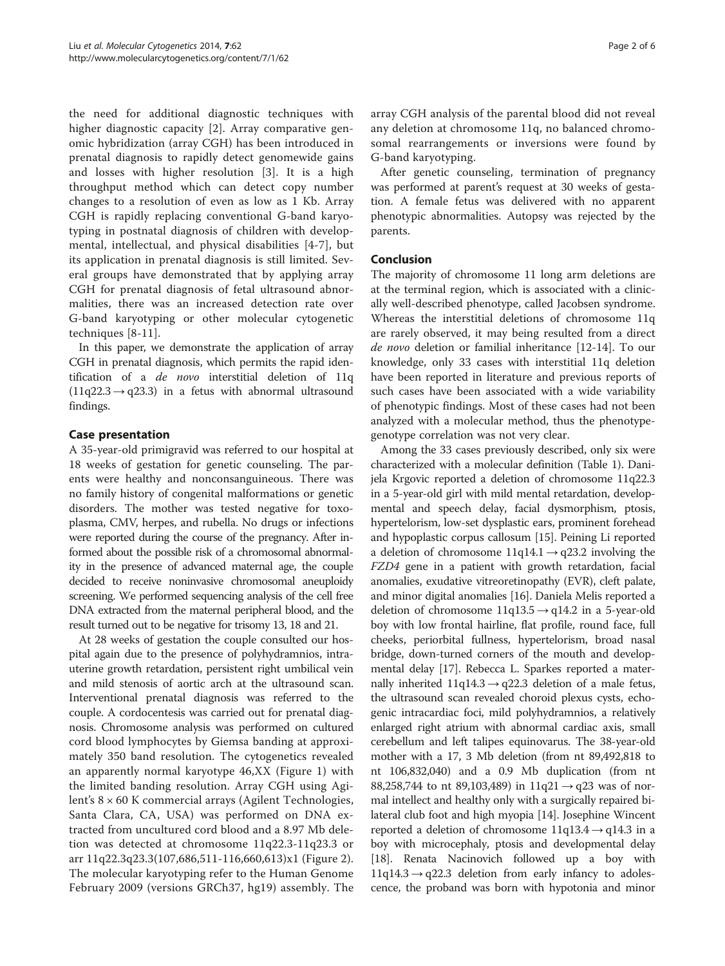the need for additional diagnostic techniques with higher diagnostic capacity [[2\]](#page-4-0). Array comparative genomic hybridization (array CGH) has been introduced in prenatal diagnosis to rapidly detect genomewide gains and losses with higher resolution [\[3](#page-4-0)]. It is a high throughput method which can detect copy number changes to a resolution of even as low as 1 Kb. Array CGH is rapidly replacing conventional G-band karyotyping in postnatal diagnosis of children with developmental, intellectual, and physical disabilities [\[4](#page-4-0)-[7](#page-4-0)], but its application in prenatal diagnosis is still limited. Several groups have demonstrated that by applying array CGH for prenatal diagnosis of fetal ultrasound abnormalities, there was an increased detection rate over G-band karyotyping or other molecular cytogenetic techniques [[8-11](#page-4-0)].

In this paper, we demonstrate the application of array CGH in prenatal diagnosis, which permits the rapid identification of a de novo interstitial deletion of 11q  $(11q22.3 \rightarrow q23.3)$  in a fetus with abnormal ultrasound findings.

## Case presentation

A 35-year-old primigravid was referred to our hospital at 18 weeks of gestation for genetic counseling. The parents were healthy and nonconsanguineous. There was no family history of congenital malformations or genetic disorders. The mother was tested negative for toxoplasma, CMV, herpes, and rubella. No drugs or infections were reported during the course of the pregnancy. After informed about the possible risk of a chromosomal abnormality in the presence of advanced maternal age, the couple decided to receive noninvasive chromosomal aneuploidy screening. We performed sequencing analysis of the cell free DNA extracted from the maternal peripheral blood, and the result turned out to be negative for trisomy 13, 18 and 21.

At 28 weeks of gestation the couple consulted our hospital again due to the presence of polyhydramnios, intrauterine growth retardation, persistent right umbilical vein and mild stenosis of aortic arch at the ultrasound scan. Interventional prenatal diagnosis was referred to the couple. A cordocentesis was carried out for prenatal diagnosis. Chromosome analysis was performed on cultured cord blood lymphocytes by Giemsa banding at approximately 350 band resolution. The cytogenetics revealed an apparently normal karyotype 46,XX (Figure [1](#page-2-0)) with the limited banding resolution. Array CGH using Agilent's 8 × 60 K commercial arrays (Agilent Technologies, Santa Clara, CA, USA) was performed on DNA extracted from uncultured cord blood and a 8.97 Mb deletion was detected at chromosome 11q22.3-11q23.3 or arr 11q22.3q23.3(107,686,511-116,660,613)x1 (Figure [2](#page-3-0)). The molecular karyotyping refer to the Human Genome February 2009 (versions GRCh37, hg19) assembly. The array CGH analysis of the parental blood did not reveal any deletion at chromosome 11q, no balanced chromosomal rearrangements or inversions were found by G-band karyotyping.

After genetic counseling, termination of pregnancy was performed at parent's request at 30 weeks of gestation. A female fetus was delivered with no apparent phenotypic abnormalities. Autopsy was rejected by the parents.

## Conclusion

The majority of chromosome 11 long arm deletions are at the terminal region, which is associated with a clinically well-described phenotype, called Jacobsen syndrome. Whereas the interstitial deletions of chromosome 11q are rarely observed, it may being resulted from a direct de novo deletion or familial inheritance [[12](#page-4-0)-[14\]](#page-5-0). To our knowledge, only 33 cases with interstitial 11q deletion have been reported in literature and previous reports of such cases have been associated with a wide variability of phenotypic findings. Most of these cases had not been analyzed with a molecular method, thus the phenotypegenotype correlation was not very clear.

Among the 33 cases previously described, only six were characterized with a molecular definition (Table [1](#page-4-0)). Danijela Krgovic reported a deletion of chromosome 11q22.3 in a 5-year-old girl with mild mental retardation, developmental and speech delay, facial dysmorphism, ptosis, hypertelorism, low-set dysplastic ears, prominent forehead and hypoplastic corpus callosum [[15](#page-5-0)]. Peining Li reported a deletion of chromosome  $11q14.1 \rightarrow q23.2$  involving the FZD4 gene in a patient with growth retardation, facial anomalies, exudative vitreoretinopathy (EVR), cleft palate, and minor digital anomalies [\[16\]](#page-5-0). Daniela Melis reported a deletion of chromosome  $11q13.5 \rightarrow q14.2$  in a 5-year-old boy with low frontal hairline, flat profile, round face, full cheeks, periorbital fullness, hypertelorism, broad nasal bridge, down-turned corners of the mouth and developmental delay [[17](#page-5-0)]. Rebecca L. Sparkes reported a maternally inherited  $11q14.3 \rightarrow q22.3$  deletion of a male fetus, the ultrasound scan revealed choroid plexus cysts, echogenic intracardiac foci, mild polyhydramnios, a relatively enlarged right atrium with abnormal cardiac axis, small cerebellum and left talipes equinovarus. The 38-year-old mother with a 17, 3 Mb deletion (from nt 89,492,818 to nt 106,832,040) and a 0.9 Mb duplication (from nt 88,258,744 to nt 89,103,489) in  $11q21 \rightarrow q23$  was of normal intellect and healthy only with a surgically repaired bilateral club foot and high myopia [[14](#page-5-0)]. Josephine Wincent reported a deletion of chromosome  $11q13.4 \rightarrow q14.3$  in a boy with microcephaly, ptosis and developmental delay [[18](#page-5-0)]. Renata Nacinovich followed up a boy with  $11q14.3 \rightarrow q22.3$  deletion from early infancy to adolescence, the proband was born with hypotonia and minor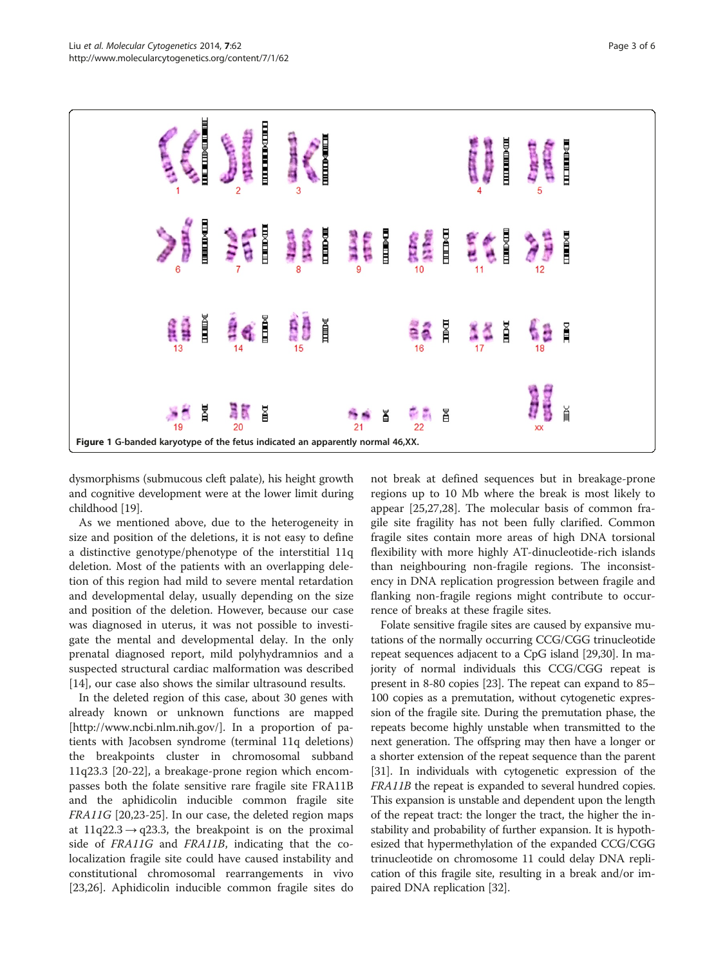<span id="page-2-0"></span>

dysmorphisms (submucous cleft palate), his height growth and cognitive development were at the lower limit during childhood [\[19\]](#page-5-0).

As we mentioned above, due to the heterogeneity in size and position of the deletions, it is not easy to define a distinctive genotype/phenotype of the interstitial 11q deletion. Most of the patients with an overlapping deletion of this region had mild to severe mental retardation and developmental delay, usually depending on the size and position of the deletion. However, because our case was diagnosed in uterus, it was not possible to investigate the mental and developmental delay. In the only prenatal diagnosed report, mild polyhydramnios and a suspected structural cardiac malformation was described [[14\]](#page-5-0), our case also shows the similar ultrasound results.

In the deleted region of this case, about 30 genes with already known or unknown functions are mapped [[http://www.ncbi.nlm.nih.gov/\]](http://www.ncbi.nlm.nih.gov/). In a proportion of patients with Jacobsen syndrome (terminal 11q deletions) the breakpoints cluster in chromosomal subband 11q23.3 [\[20](#page-5-0)-[22](#page-5-0)], a breakage-prone region which encompasses both the folate sensitive rare fragile site FRA11B and the aphidicolin inducible common fragile site FRA11G [[20](#page-5-0),[23](#page-5-0)-[25\]](#page-5-0). In our case, the deleted region maps at  $11q22.3 \rightarrow q23.3$ , the breakpoint is on the proximal side of FRA11G and FRA11B, indicating that the colocalization fragile site could have caused instability and constitutional chromosomal rearrangements in vivo [[23,26\]](#page-5-0). Aphidicolin inducible common fragile sites do not break at defined sequences but in breakage-prone regions up to 10 Mb where the break is most likely to appear [\[25,27,28\]](#page-5-0). The molecular basis of common fragile site fragility has not been fully clarified. Common fragile sites contain more areas of high DNA torsional flexibility with more highly AT-dinucleotide-rich islands than neighbouring non-fragile regions. The inconsistency in DNA replication progression between fragile and flanking non-fragile regions might contribute to occurrence of breaks at these fragile sites.

Folate sensitive fragile sites are caused by expansive mutations of the normally occurring CCG/CGG trinucleotide repeat sequences adjacent to a CpG island [[29,30\]](#page-5-0). In majority of normal individuals this CCG/CGG repeat is present in 8-80 copies [\[23](#page-5-0)]. The repeat can expand to 85– 100 copies as a premutation, without cytogenetic expression of the fragile site. During the premutation phase, the repeats become highly unstable when transmitted to the next generation. The offspring may then have a longer or a shorter extension of the repeat sequence than the parent [[31](#page-5-0)]. In individuals with cytogenetic expression of the FRA11B the repeat is expanded to several hundred copies. This expansion is unstable and dependent upon the length of the repeat tract: the longer the tract, the higher the instability and probability of further expansion. It is hypothesized that hypermethylation of the expanded CCG/CGG trinucleotide on chromosome 11 could delay DNA replication of this fragile site, resulting in a break and/or impaired DNA replication [\[32\]](#page-5-0).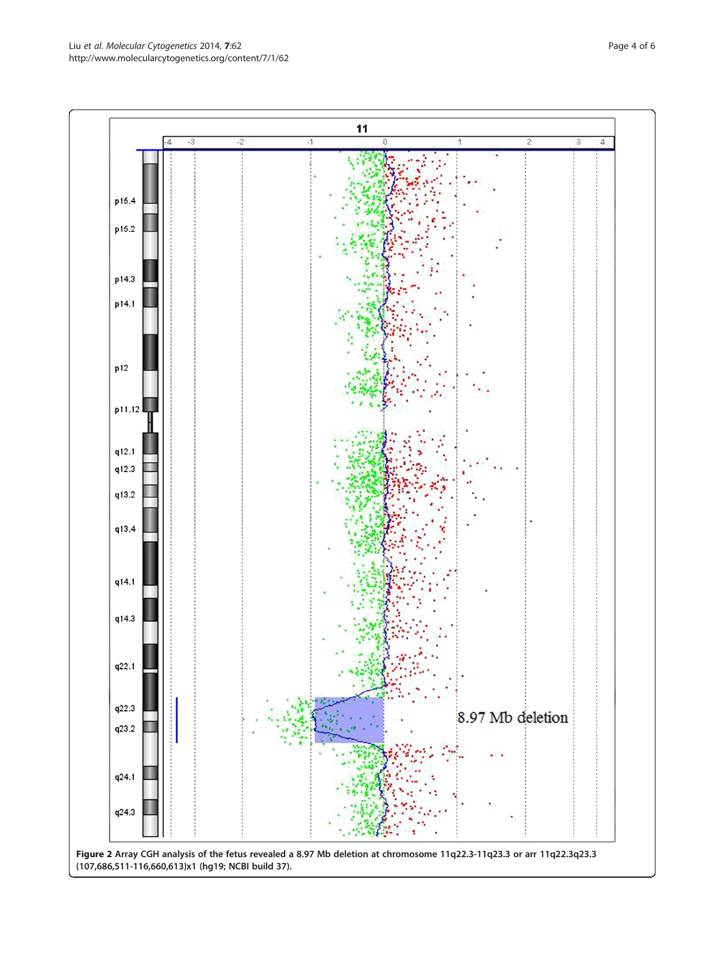<span id="page-3-0"></span>Liu et al. Molecular Cytogenetics 2014, 7:62 Page 4 of 6 http://www.molecularcytogenetics.org/content/7/1/62

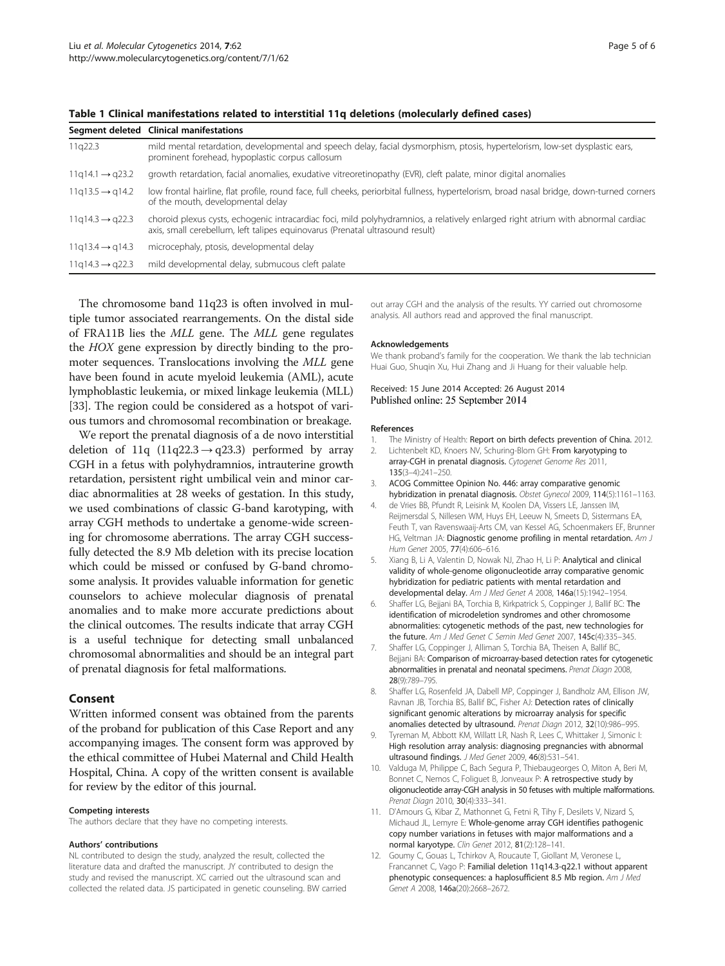|                             | Segment deleted Clinical manifestations                                                                                                                                                                           |
|-----------------------------|-------------------------------------------------------------------------------------------------------------------------------------------------------------------------------------------------------------------|
| 11q22.3                     | mild mental retardation, developmental and speech delay, facial dysmorphism, ptosis, hypertelorism, low-set dysplastic ears,<br>prominent forehead, hypoplastic corpus callosum                                   |
| $11q14.1 \rightarrow q23.2$ | growth retardation, facial anomalies, exudative vitreoretinopathy (EVR), cleft palate, minor digital anomalies                                                                                                    |
| $11q13.5 \rightarrow q14.2$ | low frontal hairline, flat profile, round face, full cheeks, periorbital fullness, hypertelorism, broad nasal bridge, down-turned corners<br>of the mouth, developmental delay                                    |
| $11q14.3 \rightarrow q22.3$ | choroid plexus cysts, echogenic intracardiac foci, mild polyhydramnios, a relatively enlarged right atrium with abnormal cardiac<br>axis, small cerebellum, left talipes equinovarus (Prenatal ultrasound result) |
| $11q13.4 \rightarrow q14.3$ | microcephaly, ptosis, developmental delay                                                                                                                                                                         |
| $11q14.3 \rightarrow q22.3$ | mild developmental delay, submucous cleft palate                                                                                                                                                                  |

<span id="page-4-0"></span>Table 1 Clinical manifestations related to interstitial 11q deletions (molecularly defined cases)

The chromosome band 11q23 is often involved in multiple tumor associated rearrangements. On the distal side of FRA11B lies the MLL gene. The MLL gene regulates the HOX gene expression by directly binding to the promoter sequences. Translocations involving the MLL gene have been found in acute myeloid leukemia (AML), acute lymphoblastic leukemia, or mixed linkage leukemia (MLL) [[33](#page-5-0)]. The region could be considered as a hotspot of various tumors and chromosomal recombination or breakage.

We report the prenatal diagnosis of a de novo interstitial deletion of 11q  $(11q22.3 \rightarrow q23.3)$  performed by array CGH in a fetus with polyhydramnios, intrauterine growth retardation, persistent right umbilical vein and minor cardiac abnormalities at 28 weeks of gestation. In this study, we used combinations of classic G-band karotyping, with array CGH methods to undertake a genome-wide screening for chromosome aberrations. The array CGH successfully detected the 8.9 Mb deletion with its precise location which could be missed or confused by G-band chromosome analysis. It provides valuable information for genetic counselors to achieve molecular diagnosis of prenatal anomalies and to make more accurate predictions about the clinical outcomes. The results indicate that array CGH is a useful technique for detecting small unbalanced chromosomal abnormalities and should be an integral part of prenatal diagnosis for fetal malformations.

#### Consent

Written informed consent was obtained from the parents of the proband for publication of this Case Report and any accompanying images. The consent form was approved by the ethical committee of Hubei Maternal and Child Health Hospital, China. A copy of the written consent is available for review by the editor of this journal.

#### Competing interests

The authors declare that they have no competing interests.

#### Authors' contributions

NL contributed to design the study, analyzed the result, collected the literature data and drafted the manuscript. JY contributed to design the study and revised the manuscript. XC carried out the ultrasound scan and collected the related data. JS participated in genetic counseling. BW carried out array CGH and the analysis of the results. YY carried out chromosome analysis. All authors read and approved the final manuscript.

#### Acknowledgements

We thank proband's family for the cooperation. We thank the lab technician Huai Guo, Shuqin Xu, Hui Zhang and Ji Huang for their valuable help.

#### Received: 15 June 2014 Accepted: 26 August 2014 Published online: 25 September 2014

#### References

- 1. The Ministry of Health: Report on birth defects prevention of China. 2012.<br>2. Lichtenbelt KD, Knoers NV, Schuring-Blom GH: From karyotyping to
- Lichtenbelt KD, Knoers NV, Schuring-Blom GH: From karyotyping to array-CGH in prenatal diagnosis. Cytogenet Genome Res 2011, 135(3–4):241–250.
- 3. ACOG Committee Opinion No. 446: array comparative genomic hybridization in prenatal diagnosis. Obstet Gynecol 2009, 114(5):1161–1163.
- 4. de Vries BB, Pfundt R, Leisink M, Koolen DA, Vissers LE, Janssen IM, Reijmersdal S, Nillesen WM, Huys EH, Leeuw N, Smeets D, Sistermans EA, Feuth T, van Ravenswaaij-Arts CM, van Kessel AG, Schoenmakers EF, Brunner HG, Veltman JA: Diagnostic genome profiling in mental retardation. Am J Hum Genet 2005, 77(4):606–616.
- 5. Xiang B, Li A, Valentin D, Nowak NJ, Zhao H, Li P: Analytical and clinical validity of whole-genome oligonucleotide array comparative genomic hybridization for pediatric patients with mental retardation and developmental delay. Am J Med Genet A 2008, 146a(15):1942–1954.
- 6. Shaffer LG, Bejjani BA, Torchia B, Kirkpatrick S, Coppinger J, Ballif BC: The identification of microdeletion syndromes and other chromosome abnormalities: cytogenetic methods of the past, new technologies for the future. Am J Med Genet C Semin Med Genet 2007, 145c(4):335-345.
- 7. Shaffer LG, Coppinger J, Alliman S, Torchia BA, Theisen A, Ballif BC, Bejjani BA: Comparison of microarray-based detection rates for cytogenetic abnormalities in prenatal and neonatal specimens. Prenat Diagn 2008, 28(9):789–795.
- 8. Shaffer LG, Rosenfeld JA, Dabell MP, Coppinger J, Bandholz AM, Ellison JW, Ravnan JB, Torchia BS, Ballif BC, Fisher AJ: Detection rates of clinically significant genomic alterations by microarray analysis for specific anomalies detected by ultrasound. Prenat Diagn 2012, 32(10):986–995.
- 9. Tyreman M, Abbott KM, Willatt LR, Nash R, Lees C, Whittaker J, Simonic I: High resolution array analysis: diagnosing pregnancies with abnormal ultrasound findings. J Med Genet 2009, 46(8):531–541.
- 10. Valduga M, Philippe C, Bach Segura P, Thiebaugeorges O, Miton A, Beri M, Bonnet C, Nemos C, Foliguet B, Jonveaux P: A retrospective study by oligonucleotide array-CGH analysis in 50 fetuses with multiple malformations. Prenat Diagn 2010, 30(4):333–341.
- 11. D'Amours G, Kibar Z, Mathonnet G, Fetni R, Tihy F, Desilets V, Nizard S, Michaud JL, Lemyre E: Whole-genome array CGH identifies pathogenic copy number variations in fetuses with major malformations and a normal karyotype. Clin Genet 2012, 81(2):128–141.
- 12. Goumy C, Gouas L, Tchirkov A, Roucaute T, Giollant M, Veronese L, Francannet C, Vago P: Familial deletion 11q14.3-q22.1 without apparent phenotypic consequences: a haplosufficient 8.5 Mb region. Am J Med Genet A 2008, 146a(20):2668–2672.